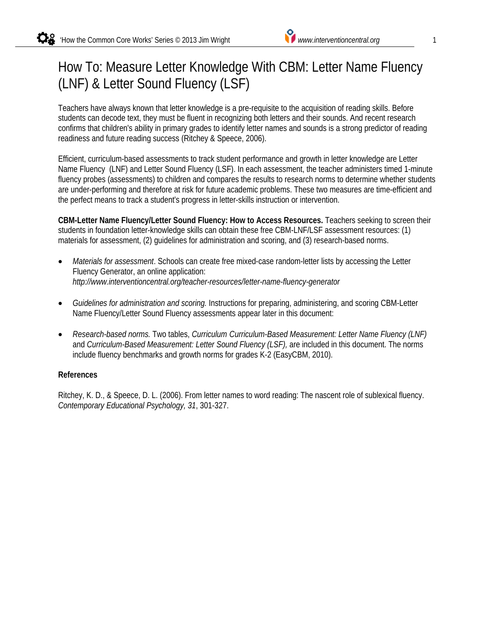# How To: Measure Letter Knowledge With CBM: Letter Name Fluency (LNF) & Letter Sound Fluency (LSF)

Teachers have always known that letter knowledge is a pre-requisite to the acquisition of reading skills. Before students can decode text, they must be fluent in recognizing both letters and their sounds. And recent research confirms that children's ability in primary grades to identify letter names and sounds is a strong predictor of reading readiness and future reading success (Ritchey & Speece, 2006).

Efficient, curriculum-based assessments to track student performance and growth in letter knowledge are Letter Name Fluency (LNF) and Letter Sound Fluency (LSF). In each assessment, the teacher administers timed 1-minute fluency probes (assessments) to children and compares the results to research norms to determine whether students are under-performing and therefore at risk for future academic problems. These two measures are time-efficient and the perfect means to track a student's progress in letter-skills instruction or intervention.

**CBM-Letter Name Fluency/Letter Sound Fluency: How to Access Resources.** Teachers seeking to screen their students in foundation letter-knowledge skills can obtain these free CBM-LNF/LSF assessment resources: (1) materials for assessment, (2) guidelines for administration and scoring, and (3) research-based norms.

- *Materials for assessment*. Schools can create free mixed-case random-letter lists by accessing the Letter Fluency Generator, an online application: *http://www.interventioncentral.org/teacher-resources/letter-name-fluency-generator*
- *Guidelines for administration and scoring.* Instructions for preparing, administering, and scoring CBM-Letter Name Fluency/Letter Sound Fluency assessments appear later in this document:
- *Research-based norms.* Two tables, *Curriculum Curriculum-Based Measurement: Letter Name Fluency (LNF)* and *Curriculum-Based Measurement: Letter Sound Fluency (LSF),* are included in this document. The norms include fluency benchmarks and growth norms for grades K-2 (EasyCBM, 2010).

#### **References**

Ritchey, K. D., & Speece, D. L. (2006). From letter names to word reading: The nascent role of sublexical fluency. *Contemporary Educational Psychology, 31*, 301-327.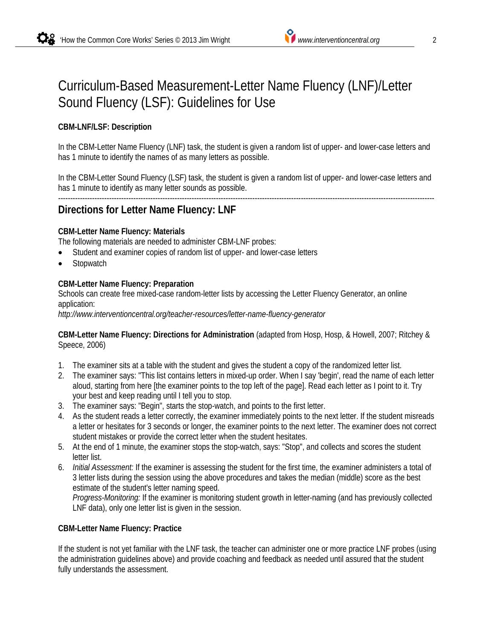# Curriculum-Based Measurement-Letter Name Fluency (LNF)/Letter Sound Fluency (LSF): Guidelines for Use

### **CBM-LNF/LSF: Description**

In the CBM-Letter Name Fluency (LNF) task, the student is given a random list of upper- and lower-case letters and has 1 minute to identify the names of as many letters as possible.

In the CBM-Letter Sound Fluency (LSF) task, the student is given a random list of upper- and lower-case letters and has 1 minute to identify as many letter sounds as possible.

#### ----------------------------------------------------------------------------------------------------------------------------------------------------------- **Directions for Letter Name Fluency: LNF**

### **CBM-Letter Name Fluency: Materials**

The following materials are needed to administer CBM-LNF probes:

- Student and examiner copies of random list of upper- and lower-case letters
- **Stopwatch**

#### **CBM-Letter Name Fluency: Preparation**

Schools can create free mixed-case random-letter lists by accessing the Letter Fluency Generator, an online application:

*http://www.interventioncentral.org/teacher-resources/letter-name-fluency-generator*

**CBM-Letter Name Fluency: Directions for Administration** (adapted from Hosp, Hosp, & Howell, 2007; Ritchey & Speece, 2006)

- 1. The examiner sits at a table with the student and gives the student a copy of the randomized letter list.
- 2. The examiner says: "This list contains letters in mixed-up order. When I say 'begin', read the name of each letter aloud, starting from here [the examiner points to the top left of the page]. Read each letter as I point to it. Try your best and keep reading until I tell you to stop.
- 3. The examiner says: "Begin", starts the stop-watch, and points to the first letter.
- 4. As the student reads a letter correctly, the examiner immediately points to the next letter. If the student misreads a letter or hesitates for 3 seconds or longer, the examiner points to the next letter. The examiner does not correct student mistakes or provide the correct letter when the student hesitates.
- 5. At the end of 1 minute, the examiner stops the stop-watch, says: "Stop", and collects and scores the student letter list.
- 6. *Initial Assessment:* If the examiner is assessing the student for the first time, the examiner administers a total of 3 letter lists during the session using the above procedures and takes the median (middle) score as the best estimate of the student's letter naming speed.

*Progress-Monitoring:* If the examiner is monitoring student growth in letter-naming (and has previously collected LNF data), only one letter list is given in the session.

#### **CBM-Letter Name Fluency: Practice**

If the student is not yet familiar with the LNF task, the teacher can administer one or more practice LNF probes (using the administration guidelines above) and provide coaching and feedback as needed until assured that the student fully understands the assessment.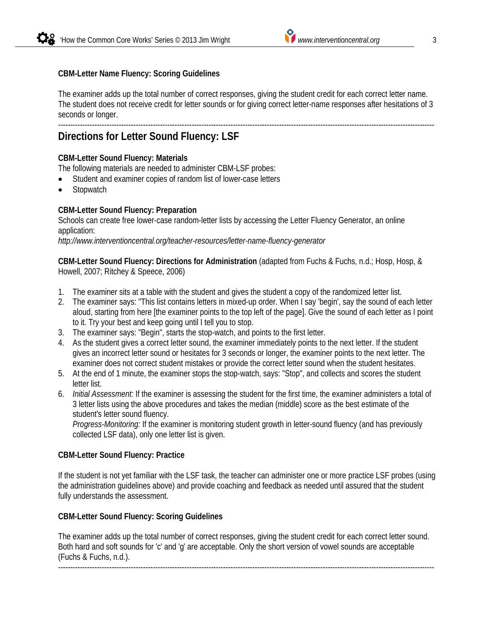### **CBM-Letter Name Fluency: Scoring Guidelines**

The examiner adds up the total number of correct responses, giving the student credit for each correct letter name. The student does not receive credit for letter sounds or for giving correct letter-name responses after hesitations of 3 seconds or longer.

#### ----------------------------------------------------------------------------------------------------------------------------------------------------------- **Directions for Letter Sound Fluency: LSF**

#### **CBM-Letter Sound Fluency: Materials**

The following materials are needed to administer CBM-LSF probes:

- Student and examiner copies of random list of lower-case letters
- **Stopwatch**

### **CBM-Letter Sound Fluency: Preparation**

Schools can create free lower-case random-letter lists by accessing the Letter Fluency Generator, an online application:

*http://www.interventioncentral.org/teacher-resources/letter-name-fluency-generator*

**CBM-Letter Sound Fluency: Directions for Administration** (adapted from Fuchs & Fuchs, n.d.; Hosp, Hosp, & Howell, 2007; Ritchey & Speece, 2006)

- 1. The examiner sits at a table with the student and gives the student a copy of the randomized letter list.
- 2. The examiner says: "This list contains letters in mixed-up order. When I say 'begin', say the sound of each letter aloud, starting from here [the examiner points to the top left of the page]. Give the sound of each letter as I point to it. Try your best and keep going until I tell you to stop.
- 3. The examiner says: "Begin", starts the stop-watch, and points to the first letter.
- 4. As the student gives a correct letter sound, the examiner immediately points to the next letter. If the student gives an incorrect letter sound or hesitates for 3 seconds or longer, the examiner points to the next letter. The examiner does not correct student mistakes or provide the correct letter sound when the student hesitates.
- 5. At the end of 1 minute, the examiner stops the stop-watch, says: "Stop", and collects and scores the student letter list.
- 6. *Initial Assessment:* If the examiner is assessing the student for the first time, the examiner administers a total of 3 letter lists using the above procedures and takes the median (middle) score as the best estimate of the student's letter sound fluency.

*Progress-Monitoring:* If the examiner is monitoring student growth in letter-sound fluency (and has previously collected LSF data), only one letter list is given.

#### **CBM-Letter Sound Fluency: Practice**

If the student is not yet familiar with the LSF task, the teacher can administer one or more practice LSF probes (using the administration guidelines above) and provide coaching and feedback as needed until assured that the student fully understands the assessment.

#### **CBM-Letter Sound Fluency: Scoring Guidelines**

The examiner adds up the total number of correct responses, giving the student credit for each correct letter sound. Both hard and soft sounds for 'c' and 'g' are acceptable. Only the short version of vowel sounds are acceptable (Fuchs & Fuchs, n.d.). -----------------------------------------------------------------------------------------------------------------------------------------------------------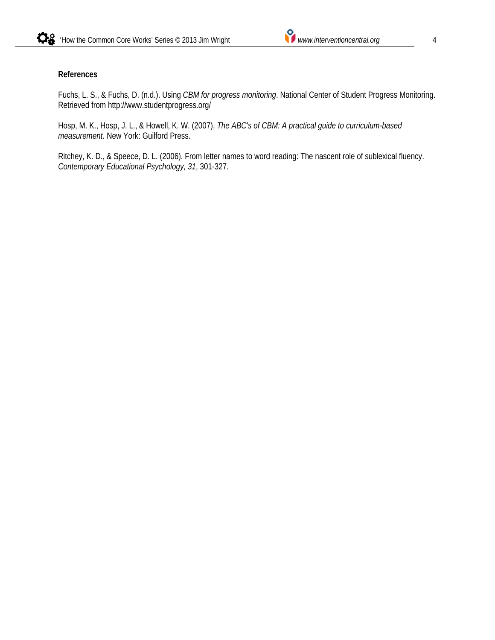#### **References**

Fuchs, L. S., & Fuchs, D. (n.d.). Using *CBM for progress monitoring*. National Center of Student Progress Monitoring. Retrieved from http://www.studentprogress.org/

Hosp, M. K., Hosp, J. L., & Howell, K. W. (2007). *The ABC's of CBM: A practical guide to curriculum-based measurement*. New York: Guilford Press.

Ritchey, K. D., & Speece, D. L. (2006). From letter names to word reading: The nascent role of sublexical fluency. *Contemporary Educational Psychology, 31*, 301-327.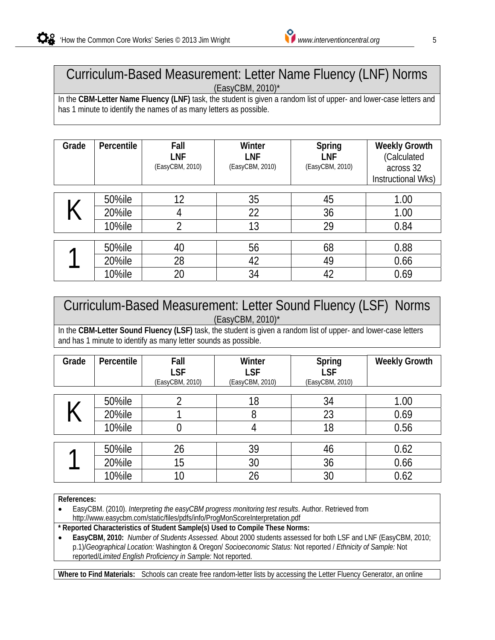

## Curriculum-Based Measurement: Letter Name Fluency (LNF) Norms (EasyCBM, 2010)\*

In the **CBM-Letter Name Fluency (LNF)** task, the student is given a random list of upper- and lower-case letters and has 1 minute to identify the names of as many letters as possible.

| Grade | Percentile    | Fall<br>LNF<br>(EasyCBM, 2010) | Winter<br>LNF<br>(EasyCBM, 2010) | Spring<br>LNF<br>(EasyCBM, 2010) | <b>Weekly Growth</b><br>(Calculated<br>across 32<br>Instructional Wks) |
|-------|---------------|--------------------------------|----------------------------------|----------------------------------|------------------------------------------------------------------------|
|       | 50%ile        | 12                             | 35                               | 45                               | 1.00                                                                   |
|       | 20%ile        | 4                              | 22                               | 36                               | 1.00                                                                   |
|       | <b>10%ile</b> | າ                              | 13                               | 29                               | 0.84                                                                   |
|       |               |                                |                                  |                                  |                                                                        |
|       | 50%ile        | 40                             | 56                               | 68                               | 0.88                                                                   |
|       | 20%ile        | 28                             | 42                               | 49                               | 0.66                                                                   |
|       | 10%ile        | 20                             | 34                               | 42                               | 0.69                                                                   |

## Curriculum-Based Measurement: Letter Sound Fluency (LSF) Norms (EasyCBM, 2010)\*

In the **CBM-Letter Sound Fluency (LSF)** task, the student is given a random list of upper- and lower-case letters and has 1 minute to identify as many letter sounds as possible.

| Grade | Percentile | Fall<br><b>LSF</b><br>(EasyCBM, 2010) | Winter<br><b>LSF</b><br>(EasyCBM, 2010) | Spring<br><b>LSF</b><br>(EasyCBM, 2010) | <b>Weekly Growth</b> |
|-------|------------|---------------------------------------|-----------------------------------------|-----------------------------------------|----------------------|
|       | 50%ile     |                                       | 18                                      | 34                                      | 1.00                 |
|       | 20%ile     |                                       | 8                                       | 23                                      | 0.69                 |
|       | 10%ile     |                                       |                                         | 18                                      | 0.56                 |
|       |            |                                       |                                         |                                         |                      |
|       | 50%ile     | 26                                    | 39                                      | 46                                      | 0.62                 |
|       | 20%ile     | 15                                    | 30                                      | 36                                      | 0.66                 |
|       | 10%ile     | 10                                    | 26                                      | 30                                      | 0.62                 |

**References:**

 EasyCBM. (2010). *Interpreting the easyCBM progress monitoring test results*. Author. Retrieved from http://www.easycbm.com/static/files/pdfs/info/ProgMonScoreInterpretation.pdf

**\* Reported Characteristics of Student Sample(s) Used to Compile These Norms:** 

 **EasyCBM, 2010:** *Number of Students Assessed.* About 2000 students assessed for both LSF and LNF (EasyCBM, 2010; p.1)/*Geographical Location:* Washington & Oregon/ *Socioeconomic Status:* Not reported / *Ethnicity of Sample:* Not reported/*Limited English Proficiency in Sample:* Not reported.

**Where to Find Materials:** Schools can create free random-letter lists by accessing the Letter Fluency Generator, an online